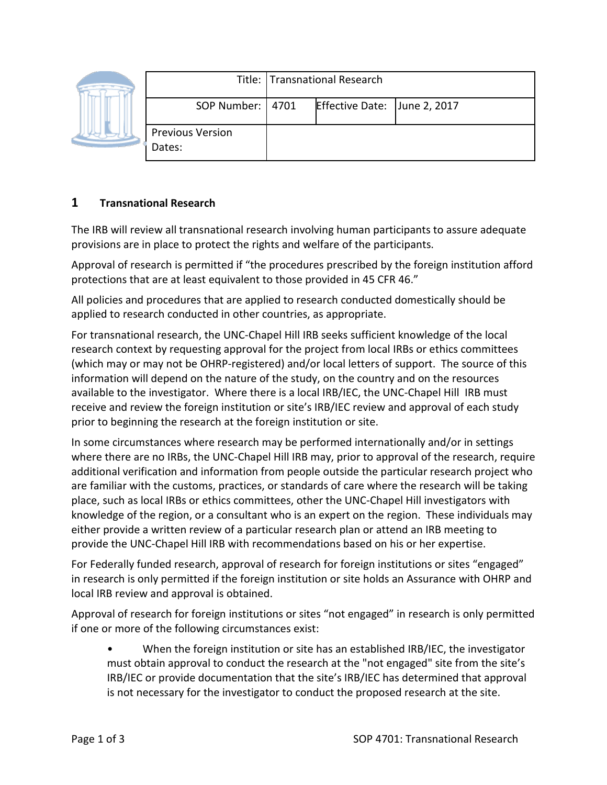|  |                                   | Title: Transnational Research |                              |  |
|--|-----------------------------------|-------------------------------|------------------------------|--|
|  | SOP Number:   4701                |                               | Effective Date: June 2, 2017 |  |
|  | <b>Previous Version</b><br>Dates: |                               |                              |  |

### **1 Transnational Research**

The IRB will review all transnational research involving human participants to assure adequate provisions are in place to protect the rights and welfare of the participants.

Approval of research is permitted if "the procedures prescribed by the foreign institution afford protections that are at least equivalent to those provided in 45 CFR 46."

All policies and procedures that are applied to research conducted domestically should be applied to research conducted in other countries, as appropriate.

For transnational research, the UNC-Chapel Hill IRB seeks sufficient knowledge of the local research context by requesting approval for the project from local IRBs or ethics committees (which may or may not be OHRP-registered) and/or local letters of support. The source of this information will depend on the nature of the study, on the country and on the resources available to the investigator. Where there is a local IRB/IEC, the UNC-Chapel Hill IRB must receive and review the foreign institution or site's IRB/IEC review and approval of each study prior to beginning the research at the foreign institution or site.

In some circumstances where research may be performed internationally and/or in settings where there are no IRBs, the UNC-Chapel Hill IRB may, prior to approval of the research, require additional verification and information from people outside the particular research project who are familiar with the customs, practices, or standards of care where the research will be taking place, such as local IRBs or ethics committees, other the UNC-Chapel Hill investigators with knowledge of the region, or a consultant who is an expert on the region. These individuals may either provide a written review of a particular research plan or attend an IRB meeting to provide the UNC-Chapel Hill IRB with recommendations based on his or her expertise.

For Federally funded research, approval of research for foreign institutions or sites "engaged" in research is only permitted if the foreign institution or site holds an Assurance with OHRP and local IRB review and approval is obtained.

Approval of research for foreign institutions or sites "not engaged" in research is only permitted if one or more of the following circumstances exist:

• When the foreign institution or site has an established IRB/IEC, the investigator must obtain approval to conduct the research at the "not engaged" site from the site's IRB/IEC or provide documentation that the site's IRB/IEC has determined that approval is not necessary for the investigator to conduct the proposed research at the site.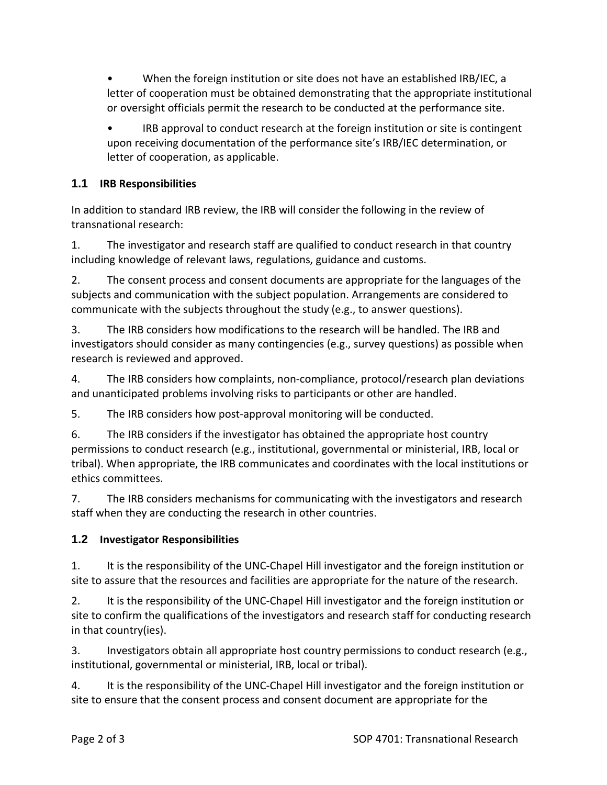• When the foreign institution or site does not have an established IRB/IEC, a letter of cooperation must be obtained demonstrating that the appropriate institutional or oversight officials permit the research to be conducted at the performance site.

• IRB approval to conduct research at the foreign institution or site is contingent upon receiving documentation of the performance site's IRB/IEC determination, or letter of cooperation, as applicable.

## **1.1 IRB Responsibilities**

In addition to standard IRB review, the IRB will consider the following in the review of transnational research:

1. The investigator and research staff are qualified to conduct research in that country including knowledge of relevant laws, regulations, guidance and customs.

2. The consent process and consent documents are appropriate for the languages of the subjects and communication with the subject population. Arrangements are considered to communicate with the subjects throughout the study (e.g., to answer questions).

3. The IRB considers how modifications to the research will be handled. The IRB and investigators should consider as many contingencies (e.g., survey questions) as possible when research is reviewed and approved.

4. The IRB considers how complaints, non-compliance, protocol/research plan deviations and unanticipated problems involving risks to participants or other are handled.

5. The IRB considers how post-approval monitoring will be conducted.

6. The IRB considers if the investigator has obtained the appropriate host country permissions to conduct research (e.g., institutional, governmental or ministerial, IRB, local or tribal). When appropriate, the IRB communicates and coordinates with the local institutions or ethics committees.

7. The IRB considers mechanisms for communicating with the investigators and research staff when they are conducting the research in other countries.

### **1.2 Investigator Responsibilities**

1. It is the responsibility of the UNC-Chapel Hill investigator and the foreign institution or site to assure that the resources and facilities are appropriate for the nature of the research.

2. It is the responsibility of the UNC-Chapel Hill investigator and the foreign institution or site to confirm the qualifications of the investigators and research staff for conducting research in that country(ies).

3. Investigators obtain all appropriate host country permissions to conduct research (e.g., institutional, governmental or ministerial, IRB, local or tribal).

4. It is the responsibility of the UNC-Chapel Hill investigator and the foreign institution or site to ensure that the consent process and consent document are appropriate for the